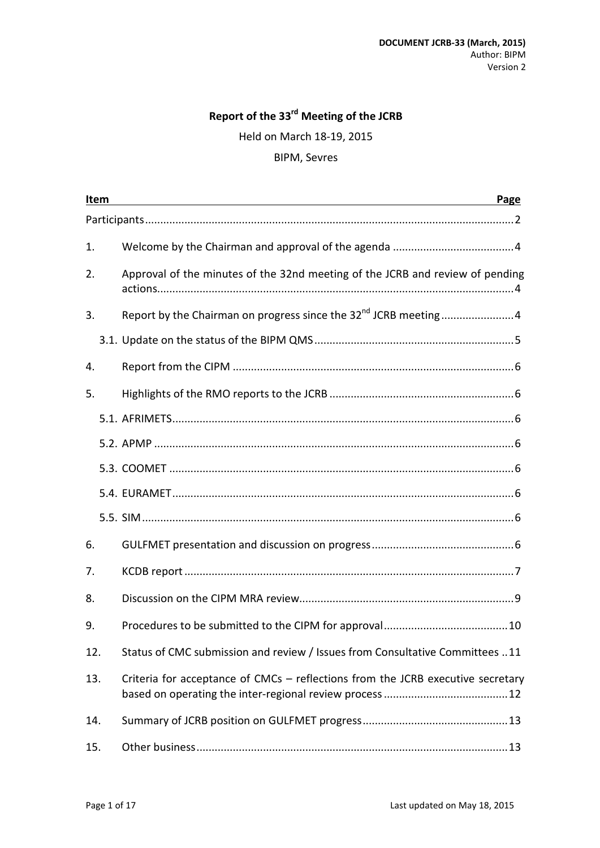# **Report of the 33rd Meeting of the JCRB**

Held on March 18-19, 2015

#### BIPM, Sevres

| Item | Page                                                                            |
|------|---------------------------------------------------------------------------------|
|      |                                                                                 |
| 1.   |                                                                                 |
| 2.   | Approval of the minutes of the 32nd meeting of the JCRB and review of pending   |
| 3.   | Report by the Chairman on progress since the 32 <sup>nd</sup> JCRB meeting4     |
|      |                                                                                 |
| 4.   |                                                                                 |
| 5.   |                                                                                 |
|      |                                                                                 |
|      |                                                                                 |
|      |                                                                                 |
|      |                                                                                 |
|      |                                                                                 |
| 6.   |                                                                                 |
| 7.   |                                                                                 |
| 8.   |                                                                                 |
| 9.   |                                                                                 |
| 12.  | Status of CMC submission and review / Issues from Consultative Committees 11    |
| 13.  | Criteria for acceptance of CMCs - reflections from the JCRB executive secretary |
| 14.  |                                                                                 |
| 15.  |                                                                                 |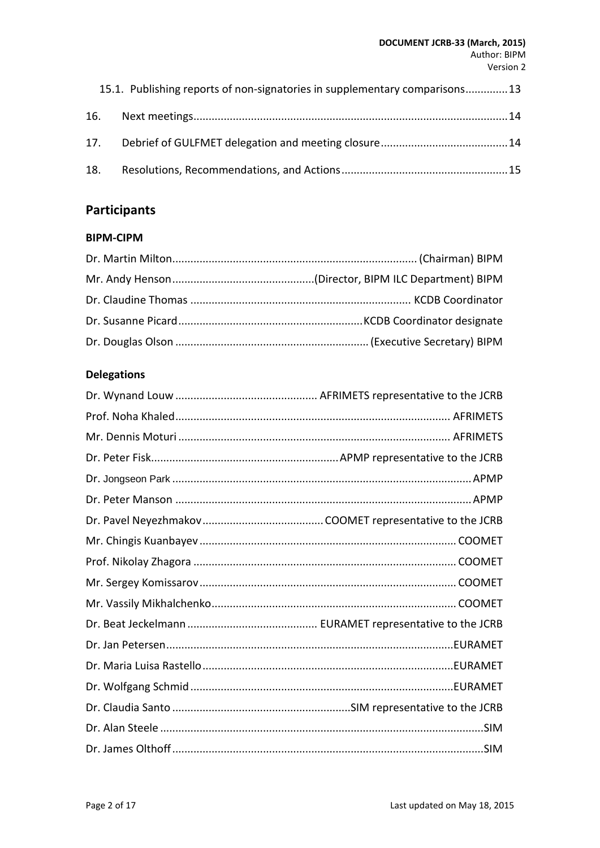#### **DOCUMENT JCRB-33 (March, 2015)** Author: BIPM Version 2

|     | 15.1. Publishing reports of non-signatories in supplementary comparisons13 |  |
|-----|----------------------------------------------------------------------------|--|
|     |                                                                            |  |
|     |                                                                            |  |
| 18. |                                                                            |  |

# <span id="page-1-0"></span>**Participants**

#### **BIPM-CIPM**

### **Delegations**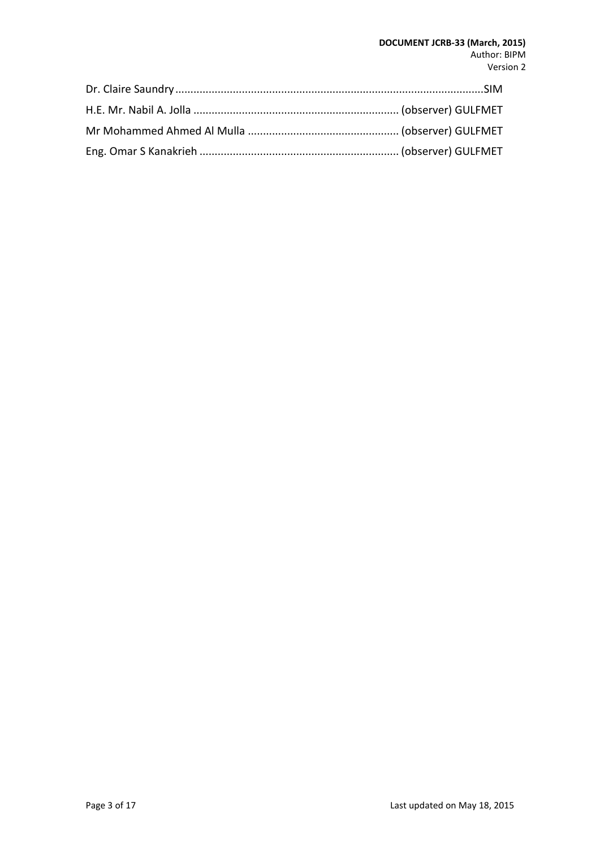#### **DOCUMENT JCRB-33 (March, 2015)** Author: BIPM Version 2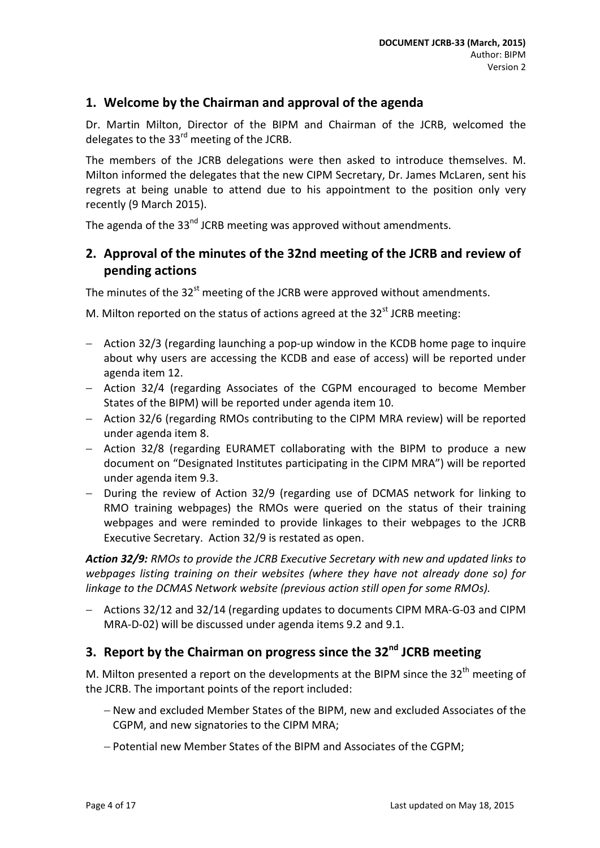### <span id="page-3-0"></span>**1. Welcome by the Chairman and approval of the agenda**

Dr. Martin Milton, Director of the BIPM and Chairman of the JCRB, welcomed the delegates to the  $33<sup>rd</sup>$  meeting of the JCRB.

The members of the JCRB delegations were then asked to introduce themselves. M. Milton informed the delegates that the new CIPM Secretary, Dr. James McLaren, sent his regrets at being unable to attend due to his appointment to the position only very recently (9 March 2015).

The agenda of the 33<sup>nd</sup> JCRB meeting was approved without amendments.

### <span id="page-3-1"></span>**2. Approval of the minutes of the 32nd meeting of the JCRB and review of pending actions**

The minutes of the  $32^{st}$  meeting of the JCRB were approved without amendments.

M. Milton reported on the status of actions agreed at the  $32<sup>st</sup>$  JCRB meeting:

- − Action 32/3 (regarding launching a pop-up window in the KCDB home page to inquire about why users are accessing the KCDB and ease of access) will be reported under agenda item 12.
- − Action 32/4 (regarding Associates of the CGPM encouraged to become Member States of the BIPM) will be reported under agenda item 10.
- − Action 32/6 (regarding RMOs contributing to the CIPM MRA review) will be reported under agenda item 8.
- − Action 32/8 (regarding EURAMET collaborating with the BIPM to produce a new document on "Designated Institutes participating in the CIPM MRA") will be reported under agenda item 9.3.
- − During the review of Action 32/9 (regarding use of DCMAS network for linking to RMO training webpages) the RMOs were queried on the status of their training webpages and were reminded to provide linkages to their webpages to the JCRB Executive Secretary. Action 32/9 is restated as open.

*Action 32/9: RMOs to provide the JCRB Executive Secretary with new and updated links to webpages listing training on their websites (where they have not already done so) for linkage to the DCMAS Network website (previous action still open for some RMOs).*

− Actions 32/12 and 32/14 (regarding updates to documents CIPM MRA-G-03 and CIPM MRA-D-02) will be discussed under agenda items 9.2 and 9.1.

## <span id="page-3-2"></span>**3. Report by the Chairman on progress since the 32nd JCRB meeting**

M. Milton presented a report on the developments at the BIPM since the 32<sup>th</sup> meeting of the JCRB. The important points of the report included:

- − New and excluded Member States of the BIPM, new and excluded Associates of the CGPM, and new signatories to the CIPM MRA;
- − Potential new Member States of the BIPM and Associates of the CGPM;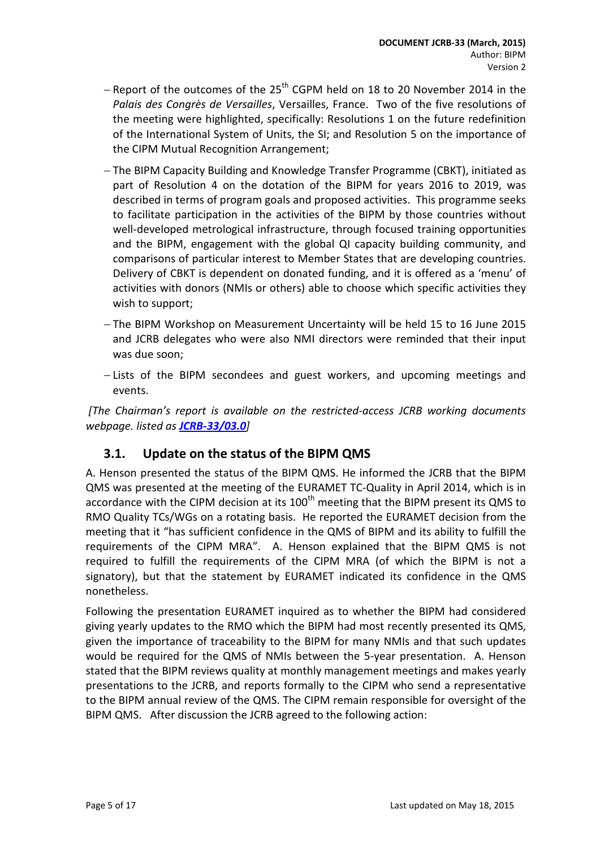- − Report of the outcomes of the 25<sup>th</sup> CGPM held on 18 to 20 November 2014 in the *Palais des Congrès de Versailles*, Versailles, France. Two of the five resolutions of the meeting were highlighted, specifically: Resolutions 1 on the future redefinition of the International System of Units, the SI; and Resolution 5 on the importance of the CIPM Mutual Recognition Arrangement;
- − The BIPM Capacity Building and Knowledge Transfer Programme (CBKT), initiated as part of Resolution 4 on the dotation of the BIPM for years 2016 to 2019, was described in terms of program goals and proposed activities. This programme seeks to facilitate participation in the activities of the BIPM by those countries without well-developed metrological infrastructure, through focused training opportunities and the BIPM, engagement with the global QI capacity building community, and comparisons of particular interest to Member States that are developing countries. Delivery of CBKT is dependent on donated funding, and it is offered as a 'menu' of activities with donors (NMIs or others) able to choose which specific activities they wish to support;
- − The BIPM Workshop on Measurement Uncertainty will be held 15 to 16 June 2015 and JCRB delegates who were also NMI directors were reminded that their input was due soon;
- − Lists of the BIPM secondees and guest workers, and upcoming meetings and events.

*[The Chairman's report is available on the restricted-access JCRB working documents webpage. listed as [JCRB-33/03.0](http://www.bipm.org/cc/JCRB/Restricted/33/33-03_Report_Chairman_16-9.pptx)]*

### <span id="page-4-0"></span>**3.1. Update on the status of the BIPM QMS**

A. Henson presented the status of the BIPM QMS. He informed the JCRB that the BIPM QMS was presented at the meeting of the EURAMET TC-Quality in April 2014, which is in accordance with the CIPM decision at its  $100<sup>th</sup>$  meeting that the BIPM present its QMS to RMO Quality TCs/WGs on a rotating basis. He reported the EURAMET decision from the meeting that it "has sufficient confidence in the QMS of BIPM and its ability to fulfill the requirements of the CIPM MRA". A. Henson explained that the BIPM QMS is not required to fulfill the requirements of the CIPM MRA (of which the BIPM is not a signatory), but that the statement by EURAMET indicated its confidence in the QMS nonetheless.

Following the presentation EURAMET inquired as to whether the BIPM had considered giving yearly updates to the RMO which the BIPM had most recently presented its QMS, given the importance of traceability to the BIPM for many NMIs and that such updates would be required for the QMS of NMIs between the 5-year presentation. A. Henson stated that the BIPM reviews quality at monthly management meetings and makes yearly presentations to the JCRB, and reports formally to the CIPM who send a representative to the BIPM annual review of the QMS. The CIPM remain responsible for oversight of the BIPM QMS. After discussion the JCRB agreed to the following action: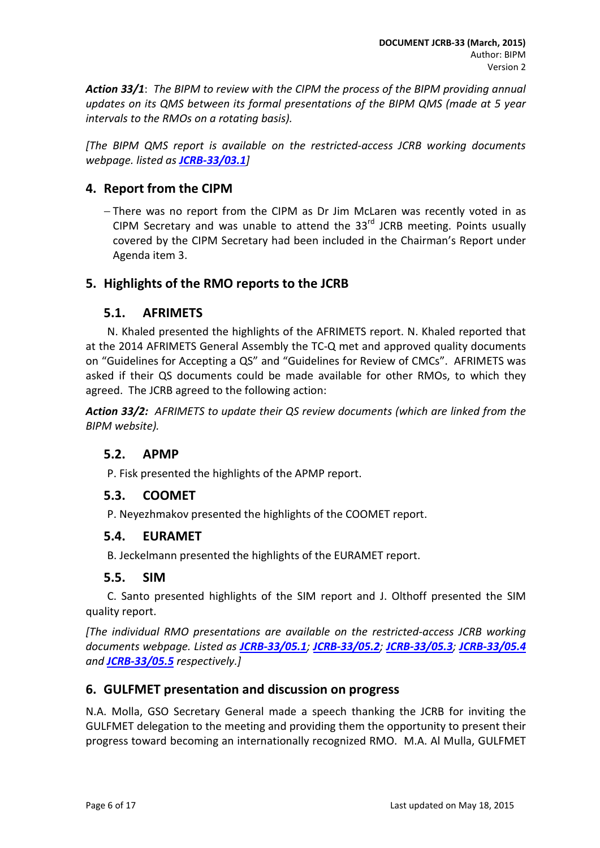*Action 33/1*: *The BIPM to review with the CIPM the process of the BIPM providing annual updates on its QMS between its formal presentations of the BIPM QMS (made at 5 year intervals to the RMOs on a rotating basis).*

*[The BIPM QMS report is available on the restricted-access JCRB working documents webpage. listed as [JCRB-33/03.1](http://www.bipm.org/cc/JCRB/Restricted/33/33-03.1_QMS_draft_05_16-9.pptx)]*

### <span id="page-5-0"></span>**4. Report from the CIPM**

− There was no report from the CIPM as Dr Jim McLaren was recently voted in as CIPM Secretary and was unable to attend the  $33<sup>rd</sup>$  JCRB meeting. Points usually covered by the CIPM Secretary had been included in the Chairman's Report under Agenda item 3.

### <span id="page-5-2"></span><span id="page-5-1"></span>**5. Highlights of the RMO reports to the JCRB**

### **5.1. AFRIMETS**

N. Khaled presented the highlights of the AFRIMETS report. N. Khaled reported that at the 2014 AFRIMETS General Assembly the TC-Q met and approved quality documents on "Guidelines for Accepting a QS" and "Guidelines for Review of CMCs". AFRIMETS was asked if their QS documents could be made available for other RMOs, to which they agreed. The JCRB agreed to the following action:

*Action 33/2: AFRIMETS to update their QS review documents (which are linked from the BIPM website).*

### <span id="page-5-3"></span>**5.2. APMP**

P. Fisk presented the highlights of the APMP report.

### <span id="page-5-4"></span>**5.3. COOMET**

P. Neyezhmakov presented the highlights of the COOMET report.

#### <span id="page-5-5"></span>**5.4. EURAMET**

B. Jeckelmann presented the highlights of the EURAMET report.

#### <span id="page-5-6"></span>**5.5. SIM**

C. Santo presented highlights of the SIM report and J. Olthoff presented the SIM quality report.

*[The individual RMO presentations are available on the restricted-access JCRB working documents webpage. Listed as [JCRB-33/05.1](http://www.bipm.org/cc/JCRB/Restricted/33/AFRIMETS_QS_Report_33rd_JCRB.doc); [JCRB-33/05.2](http://www.bipm.org/cc/JCRB/Restricted/33/APMP_Report_JCRB_MARCH_2015_Final2.pdf); [JCRB-33/05.3](http://www.bipm.org/cc/JCRB/Restricted/33/JCRB_33_COOMET_Report.pdf); [JCRB-33/05.4](http://www.bipm.org/cc/JCRB/Restricted/33/EURAMET-Report_33rdJCRB_v150311.pdf) and [JCRB-33/05.5](http://www.bipm.org/cc/JCRB/Restricted/33/SIM_JCRB_report_03_2015.docx) respectively.]*

### <span id="page-5-7"></span>**6. GULFMET presentation and discussion on progress**

N.A. Molla, GSO Secretary General made a speech thanking the JCRB for inviting the GULFMET delegation to the meeting and providing them the opportunity to present their progress toward becoming an internationally recognized RMO. M.A. Al Mulla, GULFMET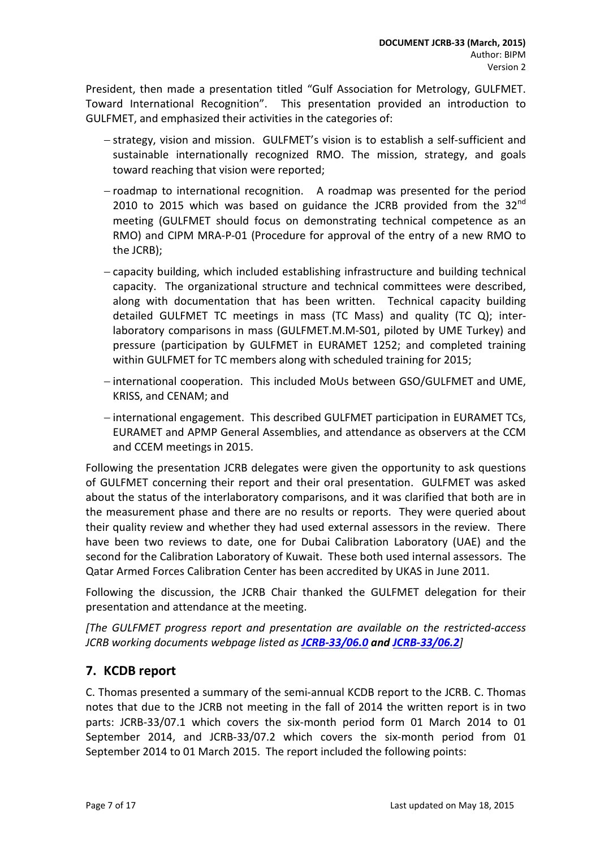President, then made a presentation titled "Gulf Association for Metrology, GULFMET. Toward International Recognition". This presentation provided an introduction to GULFMET, and emphasized their activities in the categories of:

- − strategy, vision and mission. GULFMET's vision is to establish a self-sufficient and sustainable internationally recognized RMO. The mission, strategy, and goals toward reaching that vision were reported;
- − roadmap to international recognition. A roadmap was presented for the period 2010 to 2015 which was based on guidance the JCRB provided from the  $32^{nd}$ meeting (GULFMET should focus on demonstrating technical competence as an RMO) and CIPM MRA-P-01 (Procedure for approval of the entry of a new RMO to the JCRB);
- − capacity building, which included establishing infrastructure and building technical capacity. The organizational structure and technical committees were described, along with documentation that has been written. Technical capacity building detailed GULFMET TC meetings in mass (TC Mass) and quality (TC Q); interlaboratory comparisons in mass (GULFMET.M.M-S01, piloted by UME Turkey) and pressure (participation by GULFMET in EURAMET 1252; and completed training within GULFMET for TC members along with scheduled training for 2015;
- − international cooperation. This included MoUs between GSO/GULFMET and UME, KRISS, and CENAM; and
- − international engagement. This described GULFMET participation in EURAMET TCs, EURAMET and APMP General Assemblies, and attendance as observers at the CCM and CCEM meetings in 2015.

Following the presentation JCRB delegates were given the opportunity to ask questions of GULFMET concerning their report and their oral presentation. GULFMET was asked about the status of the interlaboratory comparisons, and it was clarified that both are in the measurement phase and there are no results or reports. They were queried about their quality review and whether they had used external assessors in the review. There have been two reviews to date, one for Dubai Calibration Laboratory (UAE) and the second for the Calibration Laboratory of Kuwait. These both used internal assessors. The Qatar Armed Forces Calibration Center has been accredited by UKAS in June 2011.

Following the discussion, the JCRB Chair thanked the GULFMET delegation for their presentation and attendance at the meeting.

*[The GULFMET progress report and presentation are available on the restricted-access JCRB working documents webpage listed as [JCRB-33/06.0](http://www.bipm.org/cc/JCRB/Restricted/33/GULFMET_progress_report2014_BIPM_23_2_2015.pdf) an[d JCRB-33/06.2](http://www.bipm.org/cc/JCRB/Restricted/33/GULFMET_presentation_JCRB_2015.ppt)]*

### <span id="page-6-0"></span>**7. KCDB report**

C. Thomas presented a summary of the semi-annual KCDB report to the JCRB. C. Thomas notes that due to the JCRB not meeting in the fall of 2014 the written report is in two parts: JCRB-33/07.1 which covers the six-month period form 01 March 2014 to 01 September 2014, and JCRB-33/07.2 which covers the six-month period from 01 September 2014 to 01 March 2015. The report included the following points: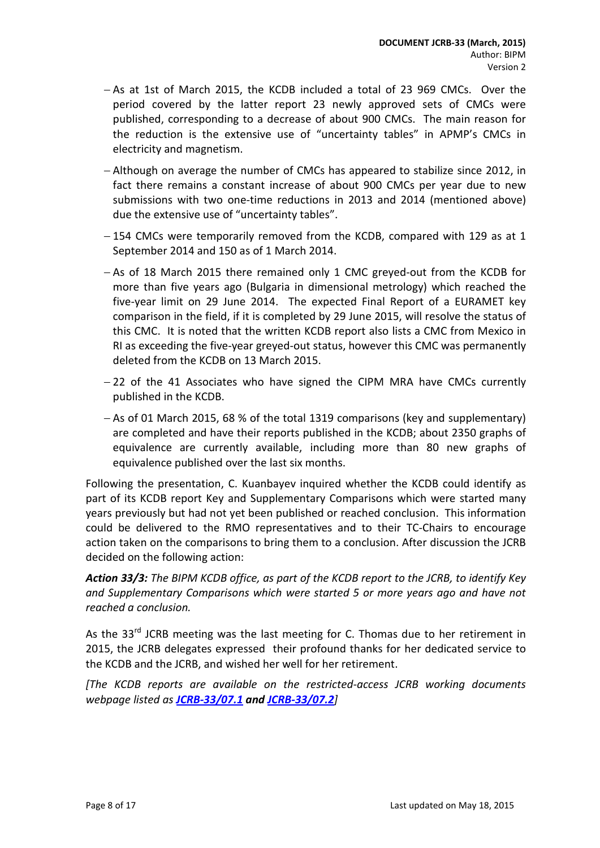- − As at 1st of March 2015, the KCDB included a total of 23 969 CMCs. Over the period covered by the latter report 23 newly approved sets of CMCs were published, corresponding to a decrease of about 900 CMCs. The main reason for the reduction is the extensive use of "uncertainty tables" in APMP's CMCs in electricity and magnetism.
- − Although on average the number of CMCs has appeared to stabilize since 2012, in fact there remains a constant increase of about 900 CMCs per year due to new submissions with two one-time reductions in 2013 and 2014 (mentioned above) due the extensive use of "uncertainty tables".
- − 154 CMCs were temporarily removed from the KCDB, compared with 129 as at 1 September 2014 and 150 as of 1 March 2014.
- − As of 18 March 2015 there remained only 1 CMC greyed-out from the KCDB for more than five years ago (Bulgaria in dimensional metrology) which reached the five-year limit on 29 June 2014. The expected Final Report of a EURAMET key comparison in the field, if it is completed by 29 June 2015, will resolve the status of this CMC. It is noted that the written KCDB report also lists a CMC from Mexico in RI as exceeding the five-year greyed-out status, however this CMC was permanently deleted from the KCDB on 13 March 2015.
- − 22 of the 41 Associates who have signed the CIPM MRA have CMCs currently published in the KCDB.
- − As of 01 March 2015, 68 % of the total 1319 comparisons (key and supplementary) are completed and have their reports published in the KCDB; about 2350 graphs of equivalence are currently available, including more than 80 new graphs of equivalence published over the last six months.

Following the presentation, C. Kuanbayev inquired whether the KCDB could identify as part of its KCDB report Key and Supplementary Comparisons which were started many years previously but had not yet been published or reached conclusion. This information could be delivered to the RMO representatives and to their TC-Chairs to encourage action taken on the comparisons to bring them to a conclusion. After discussion the JCRB decided on the following action:

*Action 33/3: The BIPM KCDB office, as part of the KCDB report to the JCRB, to identify Key and Supplementary Comparisons which were started 5 or more years ago and have not reached a conclusion.*

As the  $33^{rd}$  JCRB meeting was the last meeting for C. Thomas due to her retirement in 2015, the JCRB delegates expressed their profound thanks for her dedicated service to the KCDB and the JCRB, and wished her well for her retirement.

*[The KCDB reports are available on the restricted-access JCRB working documents webpage listed as [JCRB-33/07.1](http://www.bipm.org/cc/JCRB/Restricted/33/KCDB_Report_to_33rd_JCRB_1stpart.pdf) and [JCRB-33/07.2](http://www.bipm.org/cc/JCRB/Restricted/33/KCDB_Report_to_33rd_JCRB_2ndpart.pdf)]*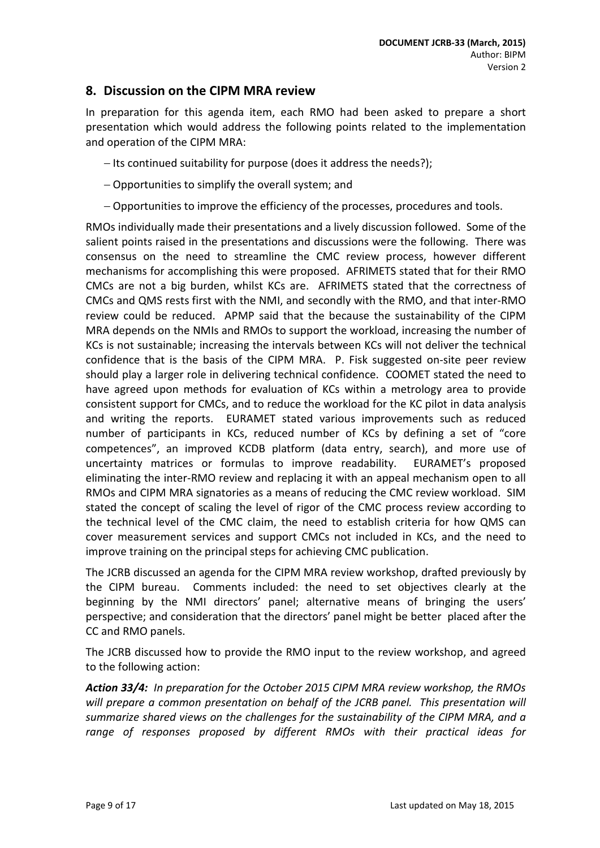### <span id="page-8-0"></span>**8. Discussion on the CIPM MRA review**

In preparation for this agenda item, each RMO had been asked to prepare a short presentation which would address the following points related to the implementation and operation of the CIPM MRA:

- − Its continued suitability for purpose (does it address the needs?);
- − Opportunities to simplify the overall system; and
- − Opportunities to improve the efficiency of the processes, procedures and tools.

RMOs individually made their presentations and a lively discussion followed. Some of the salient points raised in the presentations and discussions were the following. There was consensus on the need to streamline the CMC review process, however different mechanisms for accomplishing this were proposed. AFRIMETS stated that for their RMO CMCs are not a big burden, whilst KCs are. AFRIMETS stated that the correctness of CMCs and QMS rests first with the NMI, and secondly with the RMO, and that inter-RMO review could be reduced. APMP said that the because the sustainability of the CIPM MRA depends on the NMIs and RMOs to support the workload, increasing the number of KCs is not sustainable; increasing the intervals between KCs will not deliver the technical confidence that is the basis of the CIPM MRA. P. Fisk suggested on-site peer review should play a larger role in delivering technical confidence. COOMET stated the need to have agreed upon methods for evaluation of KCs within a metrology area to provide consistent support for CMCs, and to reduce the workload for the KC pilot in data analysis and writing the reports. EURAMET stated various improvements such as reduced number of participants in KCs, reduced number of KCs by defining a set of "core competences", an improved KCDB platform (data entry, search), and more use of uncertainty matrices or formulas to improve readability. EURAMET's proposed eliminating the inter-RMO review and replacing it with an appeal mechanism open to all RMOs and CIPM MRA signatories as a means of reducing the CMC review workload. SIM stated the concept of scaling the level of rigor of the CMC process review according to the technical level of the CMC claim, the need to establish criteria for how QMS can cover measurement services and support CMCs not included in KCs, and the need to improve training on the principal steps for achieving CMC publication.

The JCRB discussed an agenda for the CIPM MRA review workshop, drafted previously by the CIPM bureau. Comments included: the need to set objectives clearly at the beginning by the NMI directors' panel; alternative means of bringing the users' perspective; and consideration that the directors' panel might be better placed after the CC and RMO panels.

The JCRB discussed how to provide the RMO input to the review workshop, and agreed to the following action:

*Action 33/4: In preparation for the October 2015 CIPM MRA review workshop, the RMOs*  will prepare a common presentation on behalf of the JCRB panel. This presentation will *summarize shared views on the challenges for the sustainability of the CIPM MRA, and a range of responses proposed by different RMOs with their practical ideas for*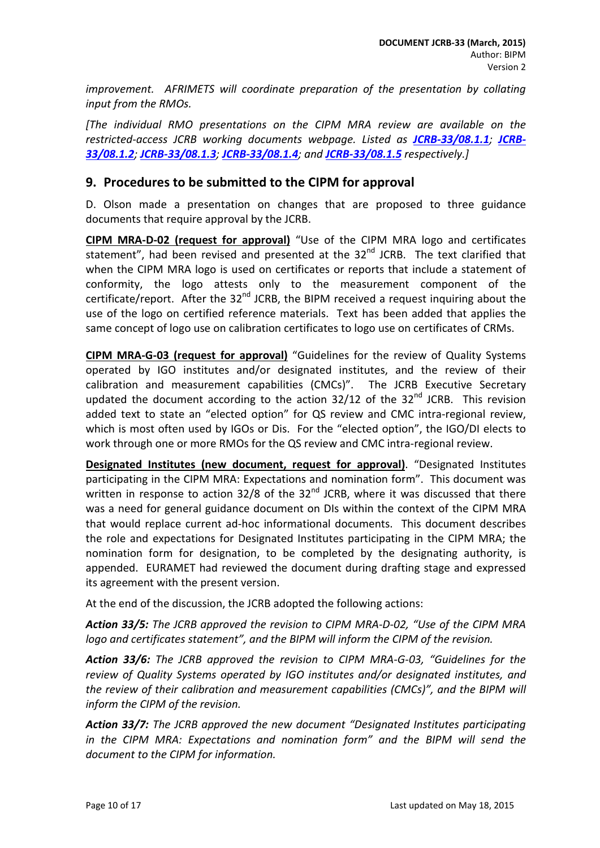*improvement. AFRIMETS will coordinate preparation of the presentation by collating input from the RMOs.*

*[The individual RMO presentations on the CIPM MRA review are available on the restricted-access JCRB working documents webpage. Listed as [JCRB-33/08.1.1](http://www.bipm.org/cc/JCRB/Restricted/33/Afrimets_2015_CIPM_MRA.pptx); [JCRB-](http://www.bipm.org/cc/JCRB/Restricted/33/APMP_Response_Action_32-6_JCRB_MAR_2015_V1.pptx)[33/08.1.2](http://www.bipm.org/cc/JCRB/Restricted/33/APMP_Response_Action_32-6_JCRB_MAR_2015_V1.pptx); [JCRB-33/08.1.3](http://www.bipm.org/cc/JCRB/Restricted/33/DRAFT_Action_32-6_COOMET.ppt); [JCRB-33/08.1.4](http://www.bipm.org/cc/JCRB/Restricted/33/JCRB-Action_32-6_EURAMET-input.ppt); and [JCRB-33/08.1.5](http://www.bipm.org/cc/JCRB/Restricted/33/SIM_MRA_Suggestions_Action_32-6v3.ppt) respectively.]*

#### <span id="page-9-0"></span>**9. Procedures to be submitted to the CIPM for approval**

D. Olson made a presentation on changes that are proposed to three guidance documents that require approval by the JCRB.

**CIPM MRA-D-02 (request for approval)** "Use of the CIPM MRA logo and certificates statement", had been revised and presented at the  $32<sup>nd</sup>$  JCRB. The text clarified that when the CIPM MRA logo is used on certificates or reports that include a statement of conformity, the logo attests only to the measurement component of the certificate/report. After the  $32^{nd}$  JCRB, the BIPM received a request inquiring about the use of the logo on certified reference materials. Text has been added that applies the same concept of logo use on calibration certificates to logo use on certificates of CRMs.

**CIPM MRA-G-03 (request for approval)** "Guidelines for the review of Quality Systems operated by IGO institutes and/or designated institutes, and the review of their calibration and measurement capabilities (CMCs)". The JCRB Executive Secretary updated the document according to the action  $32/12$  of the  $32<sup>nd</sup>$  JCRB. This revision added text to state an "elected option" for QS review and CMC intra-regional review, which is most often used by IGOs or Dis. For the "elected option", the IGO/DI elects to work through one or more RMOs for the QS review and CMC intra-regional review.

**Designated Institutes (new document, request for approval)**. "Designated Institutes participating in the CIPM MRA: Expectations and nomination form". This document was written in response to action 32/8 of the  $32<sup>nd</sup>$  JCRB, where it was discussed that there was a need for general guidance document on DIs within the context of the CIPM MRA that would replace current ad-hoc informational documents. This document describes the role and expectations for Designated Institutes participating in the CIPM MRA; the nomination form for designation, to be completed by the designating authority, is appended. EURAMET had reviewed the document during drafting stage and expressed its agreement with the present version.

At the end of the discussion, the JCRB adopted the following actions:

*Action 33/5: The JCRB approved the revision to CIPM MRA-D-02, "Use of the CIPM MRA logo and certificates statement", and the BIPM will inform the CIPM of the revision.*

*Action 33/6: The JCRB approved the revision to CIPM MRA-G-03, "Guidelines for the review of Quality Systems operated by IGO institutes and/or designated institutes, and the review of their calibration and measurement capabilities (CMCs)", and the BIPM will inform the CIPM of the revision.*

*Action 33/7: The JCRB approved the new document "Designated Institutes participating in the CIPM MRA: Expectations and nomination form" and the BIPM will send the document to the CIPM for information.*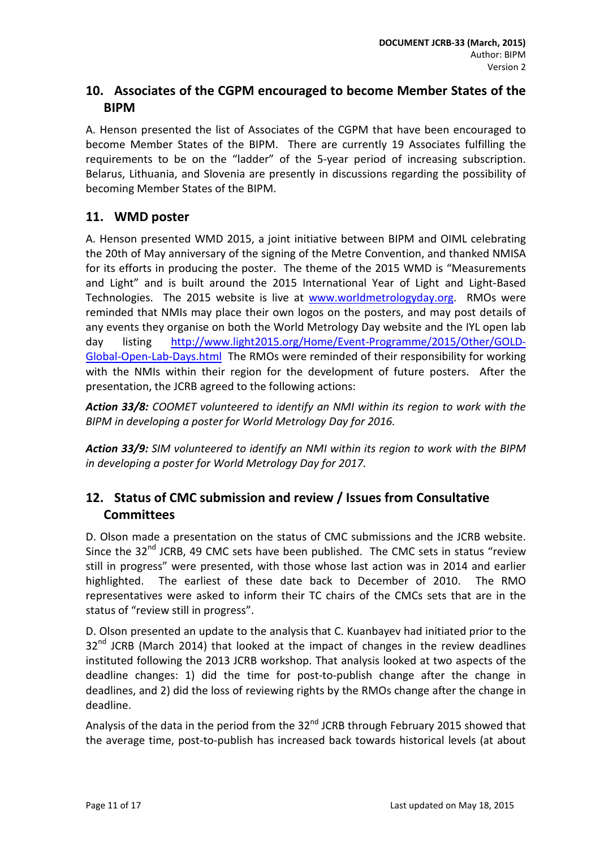## **10. Associates of the CGPM encouraged to become Member States of the BIPM**

A. Henson presented the list of Associates of the CGPM that have been encouraged to become Member States of the BIPM. There are currently 19 Associates fulfilling the requirements to be on the "ladder" of the 5-year period of increasing subscription. Belarus, Lithuania, and Slovenia are presently in discussions regarding the possibility of becoming Member States of the BIPM.

### **11. WMD poster**

A. Henson presented WMD 2015, a joint initiative between BIPM and OIML celebrating the 20th of May anniversary of the signing of the Metre Convention, and thanked NMISA for its efforts in producing the poster. The theme of the 2015 WMD is "Measurements and Light" and is built around the 2015 International Year of Light and Light-Based Technologies. The 2015 website is live at [www.worldmetrologyday.org.](http://www.worldmetrologyday.org/) RMOs were reminded that NMIs may place their own logos on the posters, and may post details of any events they organise on both the World Metrology Day website and the IYL open lab day listing [http://www.light2015.org/Home/Event-Programme/2015/Other/GOLD-](http://www.light2015.org/Home/Event-Programme/2015/Other/GOLD-Global-Open-Lab-Days.html)[Global-Open-Lab-Days.html](http://www.light2015.org/Home/Event-Programme/2015/Other/GOLD-Global-Open-Lab-Days.html) The RMOs were reminded of their responsibility for working with the NMIs within their region for the development of future posters. After the presentation, the JCRB agreed to the following actions:

*Action 33/8: COOMET volunteered to identify an NMI within its region to work with the BIPM in developing a poster for World Metrology Day for 2016.*

*Action 33/9: SIM volunteered to identify an NMI within its region to work with the BIPM in developing a poster for World Metrology Day for 2017.*

## <span id="page-10-0"></span>**12. Status of CMC submission and review / Issues from Consultative Committees**

D. Olson made a presentation on the status of CMC submissions and the JCRB website. Since the  $32<sup>nd</sup>$  JCRB, 49 CMC sets have been published. The CMC sets in status "review still in progress" were presented, with those whose last action was in 2014 and earlier highlighted. The earliest of these date back to December of 2010. The RMO representatives were asked to inform their TC chairs of the CMCs sets that are in the status of "review still in progress".

D. Olson presented an update to the analysis that C. Kuanbayev had initiated prior to the  $32<sup>nd</sup>$  JCRB (March 2014) that looked at the impact of changes in the review deadlines instituted following the 2013 JCRB workshop. That analysis looked at two aspects of the deadline changes: 1) did the time for post-to-publish change after the change in deadlines, and 2) did the loss of reviewing rights by the RMOs change after the change in deadline.

Analysis of the data in the period from the  $32^{nd}$  JCRB through February 2015 showed that the average time, post-to-publish has increased back towards historical levels (at about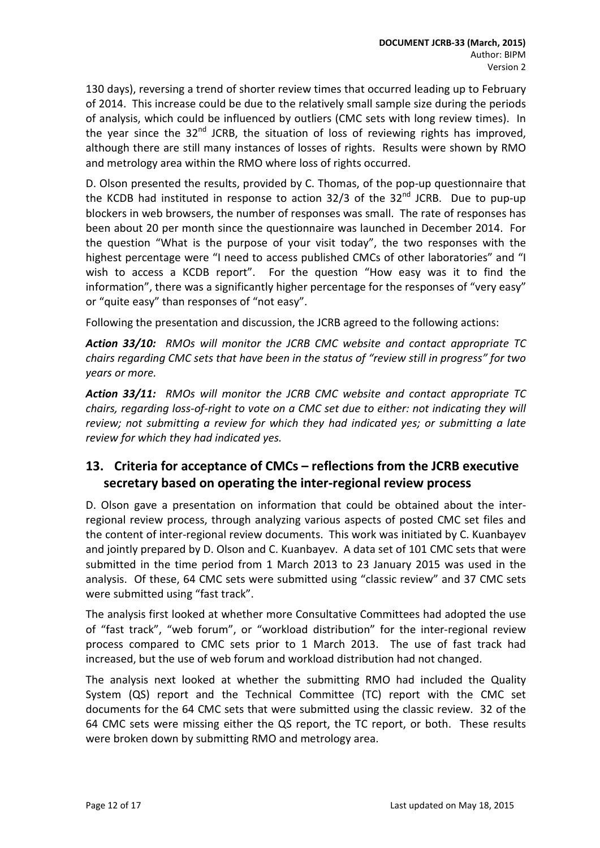130 days), reversing a trend of shorter review times that occurred leading up to February of 2014. This increase could be due to the relatively small sample size during the periods of analysis, which could be influenced by outliers (CMC sets with long review times). In the year since the  $32<sup>nd</sup>$  JCRB, the situation of loss of reviewing rights has improved, although there are still many instances of losses of rights. Results were shown by RMO and metrology area within the RMO where loss of rights occurred.

D. Olson presented the results, provided by C. Thomas, of the pop-up questionnaire that the KCDB had instituted in response to action 32/3 of the  $32<sup>nd</sup>$  JCRB. Due to pup-up blockers in web browsers, the number of responses was small. The rate of responses has been about 20 per month since the questionnaire was launched in December 2014. For the question "What is the purpose of your visit today", the two responses with the highest percentage were "I need to access published CMCs of other laboratories" and "I wish to access a KCDB report". For the question "How easy was it to find the information", there was a significantly higher percentage for the responses of "very easy" or "quite easy" than responses of "not easy".

Following the presentation and discussion, the JCRB agreed to the following actions:

*Action 33/10: RMOs will monitor the JCRB CMC website and contact appropriate TC chairs regarding CMC sets that have been in the status of "review still in progress" for two years or more.*

*Action 33/11: RMOs will monitor the JCRB CMC website and contact appropriate TC chairs, regarding loss-of-right to vote on a CMC set due to either: not indicating they will review; not submitting a review for which they had indicated yes; or submitting a late review for which they had indicated yes.*

## <span id="page-11-0"></span>**13. Criteria for acceptance of CMCs – reflections from the JCRB executive secretary based on operating the inter-regional review process**

D. Olson gave a presentation on information that could be obtained about the interregional review process, through analyzing various aspects of posted CMC set files and the content of inter-regional review documents. This work was initiated by C. Kuanbayev and jointly prepared by D. Olson and C. Kuanbayev. A data set of 101 CMC sets that were submitted in the time period from 1 March 2013 to 23 January 2015 was used in the analysis. Of these, 64 CMC sets were submitted using "classic review" and 37 CMC sets were submitted using "fast track".

The analysis first looked at whether more Consultative Committees had adopted the use of "fast track", "web forum", or "workload distribution" for the inter-regional review process compared to CMC sets prior to 1 March 2013. The use of fast track had increased, but the use of web forum and workload distribution had not changed.

The analysis next looked at whether the submitting RMO had included the Quality System (QS) report and the Technical Committee (TC) report with the CMC set documents for the 64 CMC sets that were submitted using the classic review. 32 of the 64 CMC sets were missing either the QS report, the TC report, or both. These results were broken down by submitting RMO and metrology area.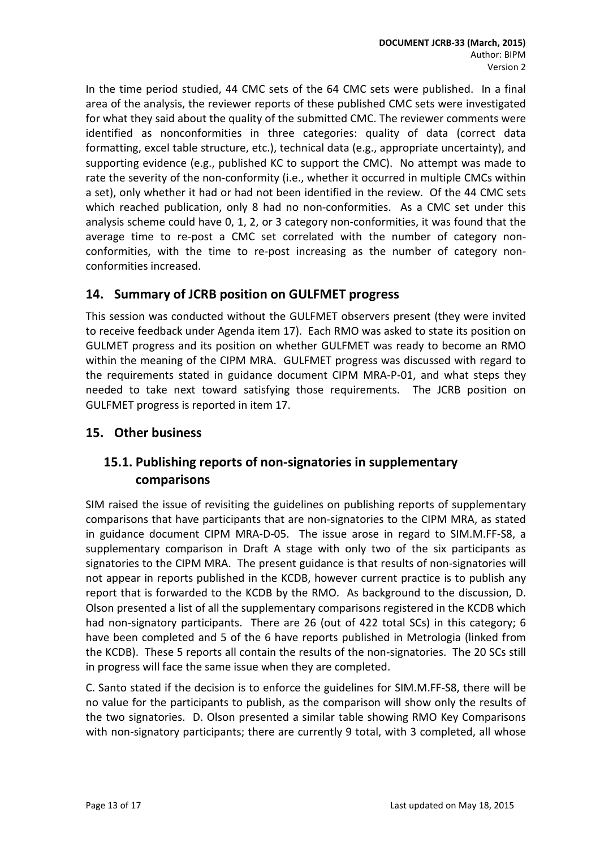In the time period studied, 44 CMC sets of the 64 CMC sets were published. In a final area of the analysis, the reviewer reports of these published CMC sets were investigated for what they said about the quality of the submitted CMC. The reviewer comments were identified as nonconformities in three categories: quality of data (correct data formatting, excel table structure, etc.), technical data (e.g., appropriate uncertainty), and supporting evidence (e.g., published KC to support the CMC). No attempt was made to rate the severity of the non-conformity (i.e., whether it occurred in multiple CMCs within a set), only whether it had or had not been identified in the review. Of the 44 CMC sets which reached publication, only 8 had no non-conformities. As a CMC set under this analysis scheme could have 0, 1, 2, or 3 category non-conformities, it was found that the average time to re-post a CMC set correlated with the number of category nonconformities, with the time to re-post increasing as the number of category nonconformities increased.

### <span id="page-12-0"></span>**14. Summary of JCRB position on GULFMET progress**

This session was conducted without the GULFMET observers present (they were invited to receive feedback under Agenda item 17). Each RMO was asked to state its position on GULMET progress and its position on whether GULFMET was ready to become an RMO within the meaning of the CIPM MRA. GULFMET progress was discussed with regard to the requirements stated in guidance document CIPM MRA-P-01, and what steps they needed to take next toward satisfying those requirements. The JCRB position on GULFMET progress is reported in item 17.

### <span id="page-12-2"></span><span id="page-12-1"></span>**15. Other business**

### **15.1. Publishing reports of non-signatories in supplementary comparisons**

SIM raised the issue of revisiting the guidelines on publishing reports of supplementary comparisons that have participants that are non-signatories to the CIPM MRA, as stated in guidance document CIPM MRA-D-05. The issue arose in regard to SIM.M.FF-S8, a supplementary comparison in Draft A stage with only two of the six participants as signatories to the CIPM MRA. The present guidance is that results of non-signatories will not appear in reports published in the KCDB, however current practice is to publish any report that is forwarded to the KCDB by the RMO. As background to the discussion, D. Olson presented a list of all the supplementary comparisons registered in the KCDB which had non-signatory participants. There are 26 (out of 422 total SCs) in this category; 6 have been completed and 5 of the 6 have reports published in Metrologia (linked from the KCDB). These 5 reports all contain the results of the non-signatories. The 20 SCs still in progress will face the same issue when they are completed.

C. Santo stated if the decision is to enforce the guidelines for SIM.M.FF-S8, there will be no value for the participants to publish, as the comparison will show only the results of the two signatories. D. Olson presented a similar table showing RMO Key Comparisons with non-signatory participants; there are currently 9 total, with 3 completed, all whose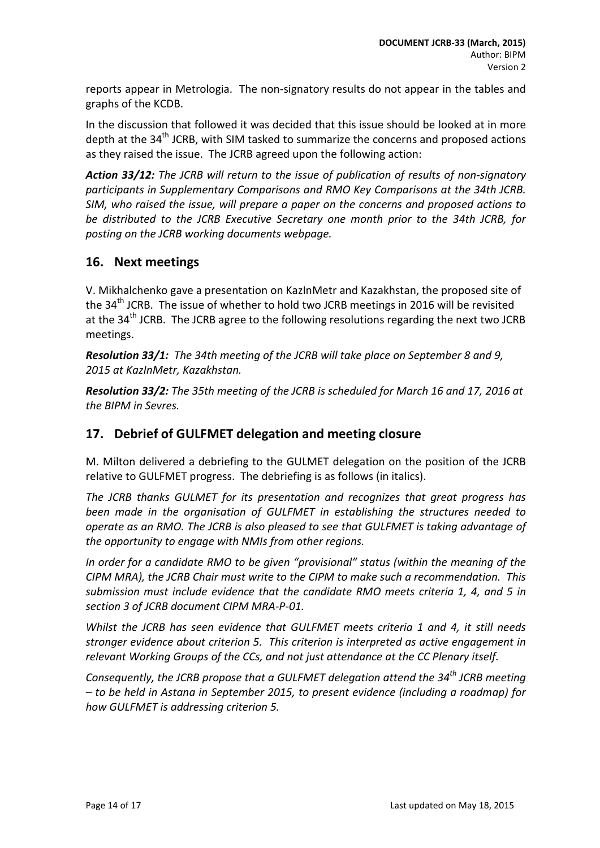reports appear in Metrologia. The non-signatory results do not appear in the tables and graphs of the KCDB.

In the discussion that followed it was decided that this issue should be looked at in more depth at the  $34<sup>th</sup>$  JCRB, with SIM tasked to summarize the concerns and proposed actions as they raised the issue. The JCRB agreed upon the following action:

*Action 33/12: The JCRB will return to the issue of publication of results of non-signatory participants in Supplementary Comparisons and RMO Key Comparisons at the 34th JCRB. SIM, who raised the issue, will prepare a paper on the concerns and proposed actions to be distributed to the JCRB Executive Secretary one month prior to the 34th JCRB, for posting on the JCRB working documents webpage.*

### <span id="page-13-0"></span>**16. Next meetings**

V. Mikhalchenko gave a presentation on KazInMetr and Kazakhstan, the proposed site of the 34<sup>th</sup> JCRB. The issue of whether to hold two JCRB meetings in 2016 will be revisited at the  $34<sup>th</sup>$  JCRB. The JCRB agree to the following resolutions regarding the next two JCRB meetings.

*Resolution 33/1: The 34th meeting of the JCRB will take place on September 8 and 9, 2015 at KazInMetr, Kazakhstan.*

*Resolution 33/2: The 35th meeting of the JCRB is scheduled for March 16 and 17, 2016 at the BIPM in Sevres.*

### <span id="page-13-1"></span>**17. Debrief of GULFMET delegation and meeting closure**

M. Milton delivered a debriefing to the GULMET delegation on the position of the JCRB relative to GULFMET progress. The debriefing is as follows (in italics).

*The JCRB thanks GULMET for its presentation and recognizes that great progress has been made in the organisation of GULFMET in establishing the structures needed to operate as an RMO. The JCRB is also pleased to see that GULFMET is taking advantage of the opportunity to engage with NMIs from other regions.*

*In order for a candidate RMO to be given "provisional" status (within the meaning of the CIPM MRA), the JCRB Chair must write to the CIPM to make such a recommendation. This submission must include evidence that the candidate RMO meets criteria 1, 4, and 5 in section 3 of JCRB document CIPM MRA-P-01.*

*Whilst the JCRB has seen evidence that GULFMET meets criteria 1 and 4, it still needs stronger evidence about criterion 5. This criterion is interpreted as active engagement in relevant Working Groups of the CCs, and not just attendance at the CC Plenary itself.*

*Consequently, the JCRB propose that a GULFMET delegation attend the 34th JCRB meeting – to be held in Astana in September 2015, to present evidence (including a roadmap) for how GULFMET is addressing criterion 5.*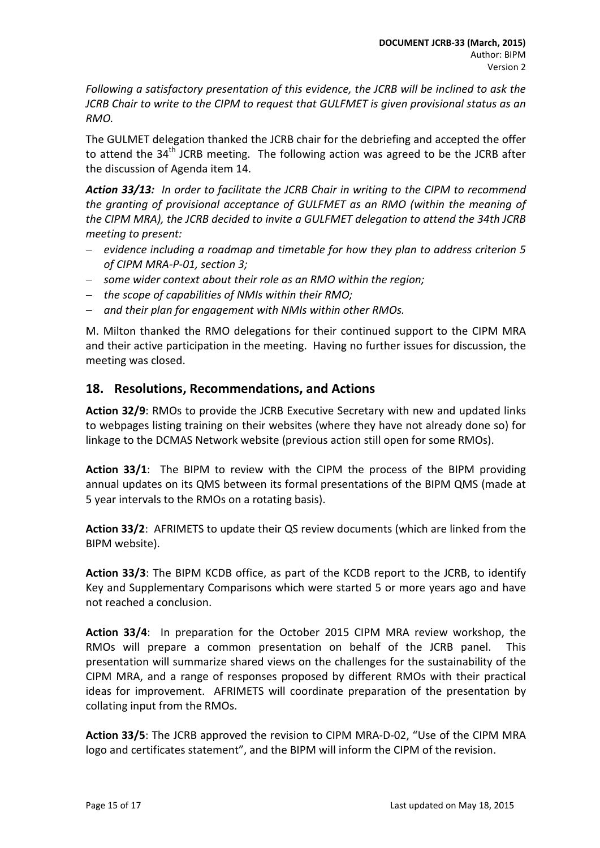*Following a satisfactory presentation of this evidence, the JCRB will be inclined to ask the JCRB Chair to write to the CIPM to request that GULFMET is given provisional status as an RMO.*

The GULMET delegation thanked the JCRB chair for the debriefing and accepted the offer to attend the  $34<sup>th</sup>$  JCRB meeting. The following action was agreed to be the JCRB after the discussion of Agenda item 14.

*Action 33/13: In order to facilitate the JCRB Chair in writing to the CIPM to recommend the granting of provisional acceptance of GULFMET as an RMO (within the meaning of the CIPM MRA), the JCRB decided to invite a GULFMET delegation to attend the 34th JCRB meeting to present:*

- − *evidence including a roadmap and timetable for how they plan to address criterion 5 of CIPM MRA-P-01, section 3;*
- − *some wider context about their role as an RMO within the region;*
- − *the scope of capabilities of NMIs within their RMO;*
- − *and their plan for engagement with NMIs within other RMOs.*

M. Milton thanked the RMO delegations for their continued support to the CIPM MRA and their active participation in the meeting. Having no further issues for discussion, the meeting was closed.

### <span id="page-14-0"></span>**18. Resolutions, Recommendations, and Actions**

**Action 32/9**: RMOs to provide the JCRB Executive Secretary with new and updated links to webpages listing training on their websites (where they have not already done so) for linkage to the DCMAS Network website (previous action still open for some RMOs).

**Action 33/1**: The BIPM to review with the CIPM the process of the BIPM providing annual updates on its QMS between its formal presentations of the BIPM QMS (made at 5 year intervals to the RMOs on a rotating basis).

**Action 33/2**: AFRIMETS to update their QS review documents (which are linked from the BIPM website).

**Action 33/3**: The BIPM KCDB office, as part of the KCDB report to the JCRB, to identify Key and Supplementary Comparisons which were started 5 or more years ago and have not reached a conclusion.

**Action 33/4**: In preparation for the October 2015 CIPM MRA review workshop, the RMOs will prepare a common presentation on behalf of the JCRB panel. This presentation will summarize shared views on the challenges for the sustainability of the CIPM MRA, and a range of responses proposed by different RMOs with their practical ideas for improvement. AFRIMETS will coordinate preparation of the presentation by collating input from the RMOs.

**Action 33/5**: The JCRB approved the revision to CIPM MRA-D-02, "Use of the CIPM MRA logo and certificates statement", and the BIPM will inform the CIPM of the revision.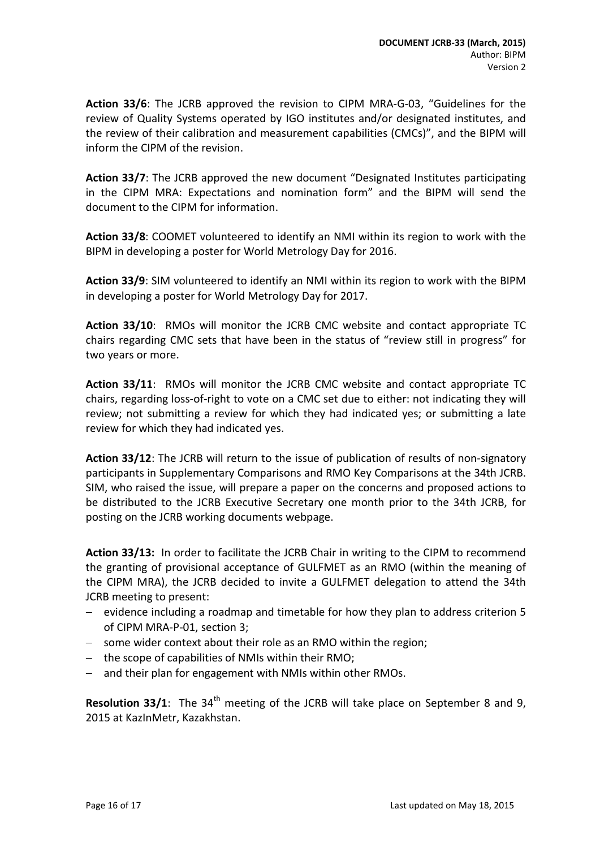**Action 33/6**: The JCRB approved the revision to CIPM MRA-G-03, "Guidelines for the review of Quality Systems operated by IGO institutes and/or designated institutes, and the review of their calibration and measurement capabilities (CMCs)", and the BIPM will inform the CIPM of the revision.

**Action 33/7**: The JCRB approved the new document "Designated Institutes participating in the CIPM MRA: Expectations and nomination form" and the BIPM will send the document to the CIPM for information.

**Action 33/8**: COOMET volunteered to identify an NMI within its region to work with the BIPM in developing a poster for World Metrology Day for 2016.

**Action 33/9**: SIM volunteered to identify an NMI within its region to work with the BIPM in developing a poster for World Metrology Day for 2017.

**Action 33/10**: RMOs will monitor the JCRB CMC website and contact appropriate TC chairs regarding CMC sets that have been in the status of "review still in progress" for two years or more.

**Action 33/11**: RMOs will monitor the JCRB CMC website and contact appropriate TC chairs, regarding loss-of-right to vote on a CMC set due to either: not indicating they will review; not submitting a review for which they had indicated yes; or submitting a late review for which they had indicated yes.

**Action 33/12**: The JCRB will return to the issue of publication of results of non-signatory participants in Supplementary Comparisons and RMO Key Comparisons at the 34th JCRB. SIM, who raised the issue, will prepare a paper on the concerns and proposed actions to be distributed to the JCRB Executive Secretary one month prior to the 34th JCRB, for posting on the JCRB working documents webpage.

**Action 33/13:** In order to facilitate the JCRB Chair in writing to the CIPM to recommend the granting of provisional acceptance of GULFMET as an RMO (within the meaning of the CIPM MRA), the JCRB decided to invite a GULFMET delegation to attend the 34th JCRB meeting to present:

- − evidence including a roadmap and timetable for how they plan to address criterion 5 of CIPM MRA-P-01, section 3;
- − some wider context about their role as an RMO within the region;
- − the scope of capabilities of NMIs within their RMO;
- and their plan for engagement with NMIs within other RMOs.

**Resolution 33/1**: The 34<sup>th</sup> meeting of the JCRB will take place on September 8 and 9, 2015 at KazInMetr, Kazakhstan.